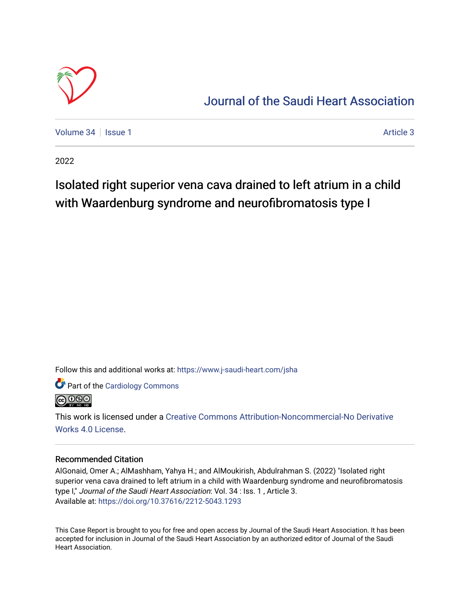

# [Journal of the Saudi Heart Association](https://www.j-saudi-heart.com/jsha)

[Volume 34](https://www.j-saudi-heart.com/jsha/vol34) | [Issue 1](https://www.j-saudi-heart.com/jsha/vol34/iss1) [Article 3](https://www.j-saudi-heart.com/jsha/vol34/iss1/3) Article 3

2022

# Isolated right superior vena cava drained to left atrium in a child with Waardenburg syndrome and neur of ibromatosis type I

Follow this and additional works at: [https://www.j-saudi-heart.com/jsha](https://www.j-saudi-heart.com/jsha?utm_source=www.j-saudi-heart.com%2Fjsha%2Fvol34%2Fiss1%2F3&utm_medium=PDF&utm_campaign=PDFCoverPages) 

Part of the [Cardiology Commons](http://network.bepress.com/hgg/discipline/683?utm_source=www.j-saudi-heart.com%2Fjsha%2Fvol34%2Fiss1%2F3&utm_medium=PDF&utm_campaign=PDFCoverPages)



This work is licensed under a [Creative Commons Attribution-Noncommercial-No Derivative](http://creativecommons.org/licenses/by-nc-nd/4.0/)  [Works 4.0 License](http://creativecommons.org/licenses/by-nc-nd/4.0/).

# Recommended Citation

AlGonaid, Omer A.; AlMashham, Yahya H.; and AlMoukirish, Abdulrahman S. (2022) "Isolated right superior vena cava drained to left atrium in a child with Waardenburg syndrome and neurofibromatosis type I," Journal of the Saudi Heart Association: Vol. 34 : Iss. 1, Article 3. Available at:<https://doi.org/10.37616/2212-5043.1293>

This Case Report is brought to you for free and open access by Journal of the Saudi Heart Association. It has been accepted for inclusion in Journal of the Saudi Heart Association by an authorized editor of Journal of the Saudi Heart Association.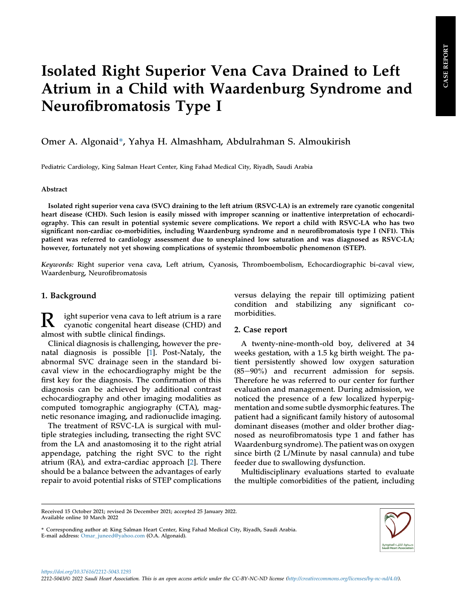# Isolated Right Superior Vena Cava Drained to Left Atrium in a Child with Waardenburg Syndrome and Neurofibromatosis Type I

Omer A. Algonaid\*, Yahya H. Almashham, Abdulrahman S. Almoukirish

Pediatric Cardiology, King Salman Heart Center, King Fahad Medical City, Riyadh, Saudi Arabia

#### Abstract

Isolated right superior vena cava (SVC) draining to the left atrium (RSVC-LA) is an extremely rare cyanotic congenital heart disease (CHD). Such lesion is easily missed with improper scanning or inattentive interpretation of echocardiography. This can result in potential systemic severe complications. We report a child with RSVC-LA who has two significant non-cardiac co-morbidities, including Waardenburg syndrome and n neurofibromatosis type I (NF1). This patient was referred to cardiology assessment due to unexplained low saturation and was diagnosed as RSVC-LA; however, fortunately not yet showing complications of systemic thromboembolic phenomenon (STEP).

Keywords: Right superior vena cava, Left atrium, Cyanosis, Thromboembolism, Echocardiographic bi-caval view, Waardenburg, Neurofibromatosis

# 1. Background

R ight superior vena cava to left atrium is a rare cyanotic congenital heart disease (CHD) and almost with subtle clinical findings.

Clinical diagnosis is challenging, however the prenatal diagnosis is possible [[1\]](#page-4-0). Post-Nataly, the abnormal SVC drainage seen in the standard bicaval view in the echocardiography might be the first key for the diagnosis. The confirmation of this diagnosis can be achieved by additional contrast echocardiography and other imaging modalities as computed tomographic angiography (CTA), magnetic resonance imaging, and radionuclide imaging.

The treatment of RSVC-LA is surgical with multiple strategies including, transecting the right SVC from the LA and anastomosing it to the right atrial appendage, patching the right SVC to the right atrium (RA), and extra-cardiac approach [\[2](#page-4-1)]. There should be a balance between the advantages of early repair to avoid potential risks of STEP complications

versus delaying the repair till optimizing patient condition and stabilizing any significant comorbidities.

# 2. Case report

A twenty-nine-month-old boy, delivered at 34 weeks gestation, with a 1.5 kg birth weight. The patient persistently showed low oxygen saturation  $(85-90\%)$  and recurrent admission for sepsis. Therefore he was referred to our center for further evaluation and management. During admission, we noticed the presence of a few localized hyperpigmentation and some subtle dysmorphic features. The patient had a significant family history of autosomal dominant diseases (mother and older brother diagnosed as neurofibromatosis type 1 and father has Waardenburg syndrome). The patient was on oxygen since birth (2 L/Minute by nasal cannula) and tube feeder due to swallowing dysfunction.

Multidisciplinary evaluations started to evaluate the multiple comorbidities of the patient, including

Received 15 October 2021; revised 26 December 2021; accepted 25 January 2022. Available online 10 March 2022

<sup>\*</sup> Corresponding author at: King Salman Heart Center, King Fahad Medical City, Riyadh, Saudi Arabia. E-mail address: [Omar\\_juneed@yahoo.com](mailto:Omar_juneed@yahoo.com) (O.A. Algonaid).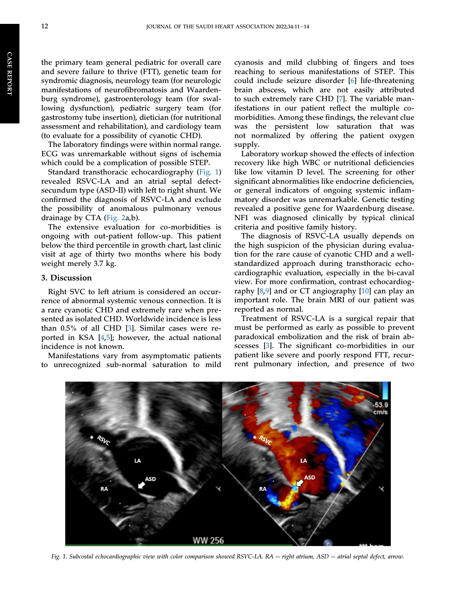the primary team general pediatric for overall care and severe failure to thrive (FTT), genetic team for syndromic diagnosis, neurology team (for neurologic manifestations of neurofibromatosis and Waardenburg syndrome), gastroenterology team (for swallowing dysfunction), pediatric surgery team (for gastrostomy tube insertion), dietician (for nutritional assessment and rehabilitation), and cardiology team (to evaluate for a possibility of cyanotic CHD).

The laboratory findings were within normal range. ECG was unremarkable without signs of ischemia which could be a complication of possible STEP.

Standard transthoracic echocardiography [\(Fig. 1\)](#page-2-0) revealed RSVC-LA and an atrial septal defectsecundum type (ASD-II) with left to right shunt. We confirmed the diagnosis of RSVC-LA and exclude the possibility of anomalous pulmonary venous drainage by CTA [\(Fig. 2a](#page-3-0),b).

The extensive evaluation for co-morbidities is ongoing with out-patient follow-up. This patient below the third percentile in growth chart, last clinic visit at age of thirty two months where his body weight merely 3.7 kg.

### 3. Discussion

Right SVC to left atrium is considered an occurrence of abnormal systemic venous connection. It is a rare cyanotic CHD and extremely rare when presented as isolated CHD. Worldwide incidence is less than 0.5% of all CHD [[3](#page-4-2)]. Similar cases were reported in KSA [\[4](#page-4-3),[5\]](#page-4-4); however, the actual national incidence is not known.

<span id="page-2-0"></span>Manifestations vary from asymptomatic patients to unrecognized sub-normal saturation to mild cyanosis and mild clubbing of fingers and toes reaching to serious manifestations of STEP. This could include seizure disorder [[6](#page-4-5)] life-threatening brain abscess, which are not easily attributed to such extremely rare CHD [[7\]](#page-4-6). The variable manifestations in our patient reflect the multiple comorbidities. Among these findings, the relevant clue was the persistent low saturation that was not normalized by offering the patient oxygen supply.

Laboratory workup showed the effects of infection recovery like high WBC or nutritional deficiencies like low vitamin D level. The screening for other significant abnormalities like endocrine deficiencies, or general indicators of ongoing systemic inflammatory disorder was unremarkable. Genetic testing revealed a positive gene for Waardenburg disease. NF1 was diagnosed clinically by typical clinical criteria and positive family history.

The diagnosis of RSVC-LA usually depends on the high suspicion of the physician during evaluation for the rare cause of cyanotic CHD and a wellstandardized approach during transthoracic echocardiographic evaluation, especially in the bi-caval view. For more confirmation, contrast echocardiography  $[8,9]$  $[8,9]$  $[8,9]$  and or CT angiography  $[10]$  $[10]$  can play an important role. The brain MRI of our patient was reported as normal.

Treatment of RSVC-LA is a surgical repair that must be performed as early as possible to prevent paradoxical embolization and the risk of brain abscesses [\[3](#page-4-2)]. The significant co-morbidities in our patient like severe and poorly respond FTT, recurrent pulmonary infection, and presence of two



Fig. 1. Subcostal echocardiographic view with color comparison showed RSVC-LA.  $RA =$ right atrium,  $ASD =$  atrial septal defect, arrow.

CASE

**REPORT**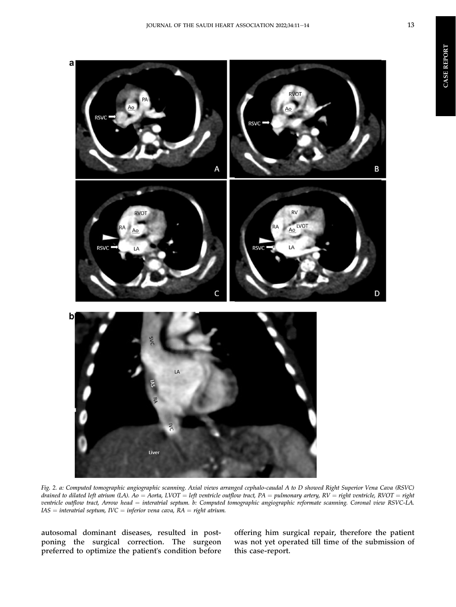CASE REPORT

**CASE REPORT** 





Fig. 2. a: Computed tomographic angiographic scanning. Axial views arranged cephalo-caudal A to D showed Right Superior Vena Cava (RSVC) drained to dilated left atrium (LA). Ao = Aorta, LVOT = left ventricle outflow tract, PA = pulmonary artery, RV = right ventricle, RVOT = right ventricle outflow tract, Arrow head = interatrial septum. b: Computed tomographic angiographic reformate scanning. Coronal view RSVC-LA.  $IAS = internal$  septum,  $IVC = inferior$  vena cava,  $RA = right$  atrium.

autosomal dominant diseases, resulted in postponing the surgical correction. The surgeon preferred to optimize the patient's condition before

<span id="page-3-0"></span>a

offering him surgical repair, therefore the patient was not yet operated till time of the submission of this case-report.